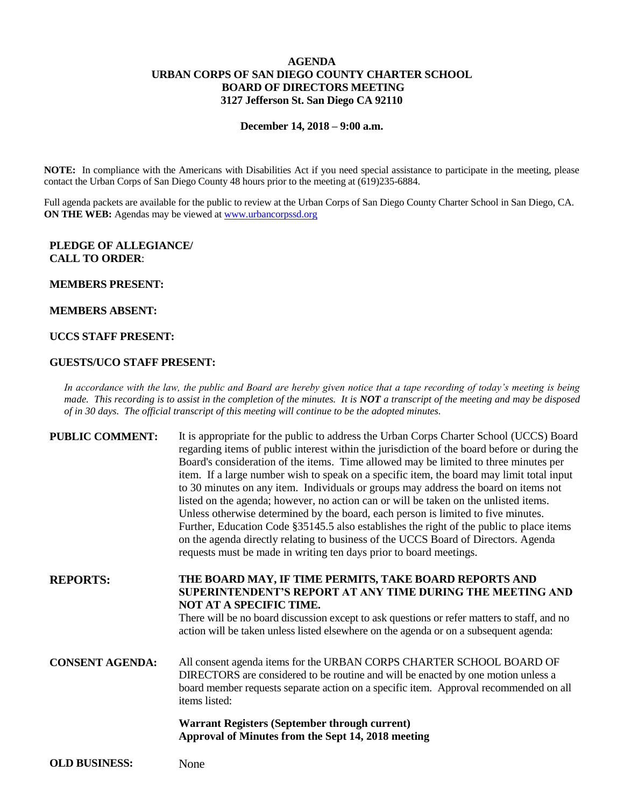## **AGENDA URBAN CORPS OF SAN DIEGO COUNTY CHARTER SCHOOL BOARD OF DIRECTORS MEETING 3127 Jefferson St. San Diego CA 92110**

#### **December 14, 2018 – 9:00 a.m.**

**NOTE:** In compliance with the Americans with Disabilities Act if you need special assistance to participate in the meeting, please contact the Urban Corps of San Diego County 48 hours prior to the meeting at (619)235-6884.

Full agenda packets are available for the public to review at the Urban Corps of San Diego County Charter School in San Diego, CA. **ON THE WEB:** Agendas may be viewed at [www.urbancorpssd.org](http://www.urbancorpssd.org/)

## **PLEDGE OF ALLEGIANCE/ CALL TO ORDER**:

#### **MEMBERS PRESENT:**

#### **MEMBERS ABSENT:**

## **UCCS STAFF PRESENT:**

#### **GUESTS/UCO STAFF PRESENT:**

*In accordance with the law, the public and Board are hereby given notice that a tape recording of today's meeting is being made. This recording is to assist in the completion of the minutes. It is NOT a transcript of the meeting and may be disposed of in 30 days. The official transcript of this meeting will continue to be the adopted minutes.*

**PUBLIC COMMENT:** It is appropriate for the public to address the Urban Corps Charter School (UCCS) Board regarding items of public interest within the jurisdiction of the board before or during the Board's consideration of the items. Time allowed may be limited to three minutes per item. If a large number wish to speak on a specific item, the board may limit total input to 30 minutes on any item. Individuals or groups may address the board on items not listed on the agenda; however, no action can or will be taken on the unlisted items. Unless otherwise determined by the board, each person is limited to five minutes. Further, Education Code §35145.5 also establishes the right of the public to place items on the agenda directly relating to business of the UCCS Board of Directors. Agenda requests must be made in writing ten days prior to board meetings.

**REPORTS: THE BOARD MAY, IF TIME PERMITS, TAKE BOARD REPORTS AND SUPERINTENDENT'S REPORT AT ANY TIME DURING THE MEETING AND NOT AT A SPECIFIC TIME.**

> There will be no board discussion except to ask questions or refer matters to staff, and no action will be taken unless listed elsewhere on the agenda or on a subsequent agenda:

**CONSENT AGENDA:** All consent agenda items for the URBAN CORPS CHARTER SCHOOL BOARD OF DIRECTORS are considered to be routine and will be enacted by one motion unless a board member requests separate action on a specific item. Approval recommended on all items listed:

> **Warrant Registers (September through current) Approval of Minutes from the Sept 14, 2018 meeting**

**OLD BUSINESS:** None